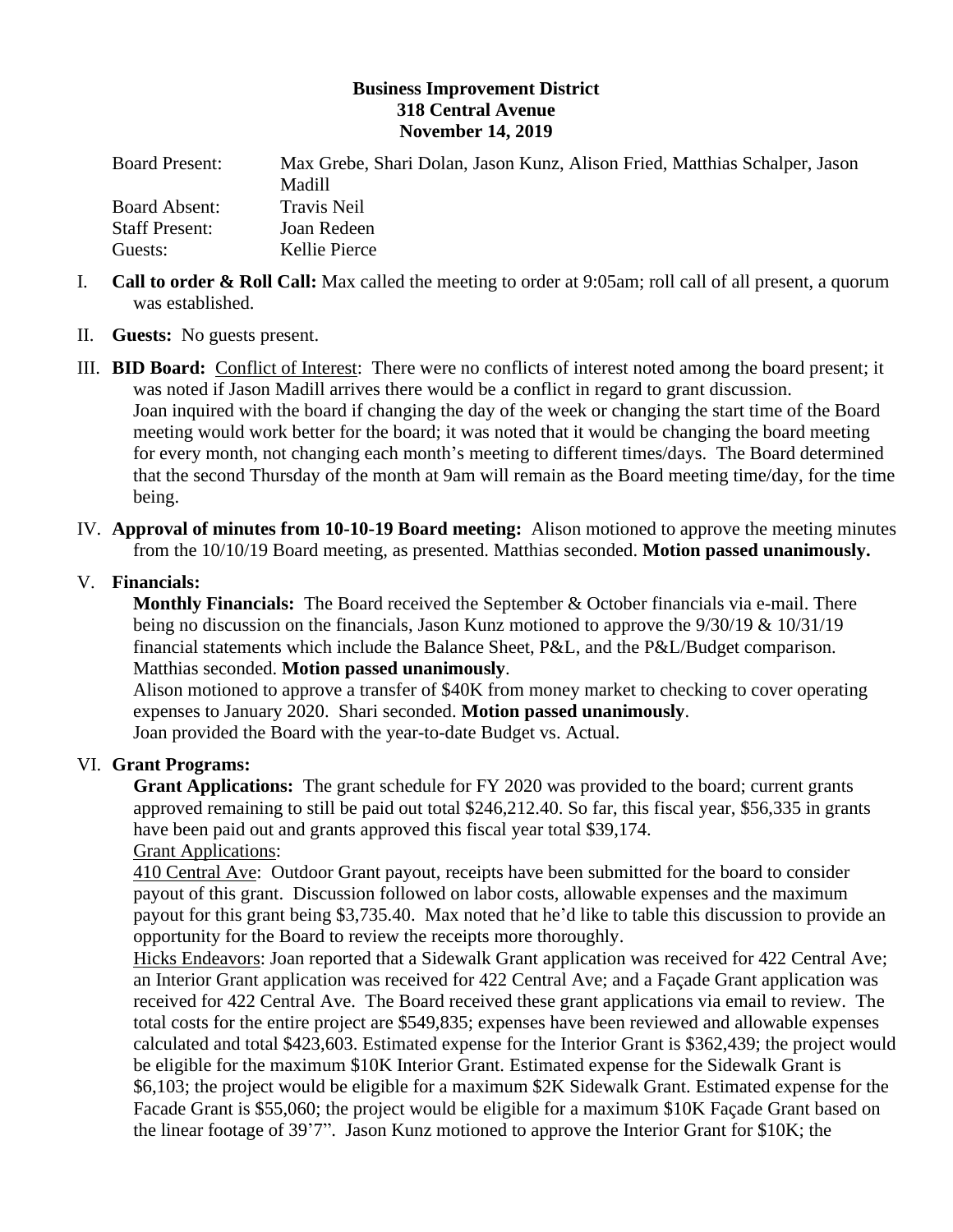## **Business Improvement District 318 Central Avenue November 14, 2019**

| <b>Board Present:</b> | Max Grebe, Shari Dolan, Jason Kunz, Alison Fried, Matthias Schalper, Jason |
|-----------------------|----------------------------------------------------------------------------|
|                       | Madill                                                                     |
| Board Absent:         | Travis Neil                                                                |
| <b>Staff Present:</b> | Joan Redeen                                                                |
| Guests:               | Kellie Pierce                                                              |

- I. **Call to order & Roll Call:** Max called the meeting to order at 9:05am; roll call of all present, a quorum was established.
- II. **Guests:** No guests present.
- III. **BID Board:** Conflict of Interest: There were no conflicts of interest noted among the board present; it was noted if Jason Madill arrives there would be a conflict in regard to grant discussion. Joan inquired with the board if changing the day of the week or changing the start time of the Board meeting would work better for the board; it was noted that it would be changing the board meeting for every month, not changing each month's meeting to different times/days. The Board determined that the second Thursday of the month at 9am will remain as the Board meeting time/day, for the time being.
- IV. **Approval of minutes from 10-10-19 Board meeting:** Alison motioned to approve the meeting minutes from the 10/10/19 Board meeting, as presented. Matthias seconded. **Motion passed unanimously.**

# V. **Financials:**

**Monthly Financials:** The Board received the September & October financials via e-mail. There being no discussion on the financials, Jason Kunz motioned to approve the 9/30/19 & 10/31/19 financial statements which include the Balance Sheet, P&L, and the P&L/Budget comparison. Matthias seconded. **Motion passed unanimously**.

Alison motioned to approve a transfer of \$40K from money market to checking to cover operating expenses to January 2020. Shari seconded. **Motion passed unanimously**. Joan provided the Board with the year-to-date Budget vs. Actual.

# VI. **Grant Programs:**

**Grant Applications:** The grant schedule for FY 2020 was provided to the board; current grants approved remaining to still be paid out total \$246,212.40. So far, this fiscal year, \$56,335 in grants have been paid out and grants approved this fiscal year total \$39,174. Grant Applications:

410 Central Ave: Outdoor Grant payout, receipts have been submitted for the board to consider payout of this grant. Discussion followed on labor costs, allowable expenses and the maximum payout for this grant being \$3,735.40. Max noted that he'd like to table this discussion to provide an opportunity for the Board to review the receipts more thoroughly.

Hicks Endeavors: Joan reported that a Sidewalk Grant application was received for 422 Central Ave; an Interior Grant application was received for 422 Central Ave; and a Façade Grant application was received for 422 Central Ave. The Board received these grant applications via email to review. The total costs for the entire project are \$549,835; expenses have been reviewed and allowable expenses calculated and total \$423,603. Estimated expense for the Interior Grant is \$362,439; the project would be eligible for the maximum \$10K Interior Grant. Estimated expense for the Sidewalk Grant is \$6,103; the project would be eligible for a maximum \$2K Sidewalk Grant. Estimated expense for the Facade Grant is \$55,060; the project would be eligible for a maximum \$10K Façade Grant based on the linear footage of 39'7". Jason Kunz motioned to approve the Interior Grant for \$10K; the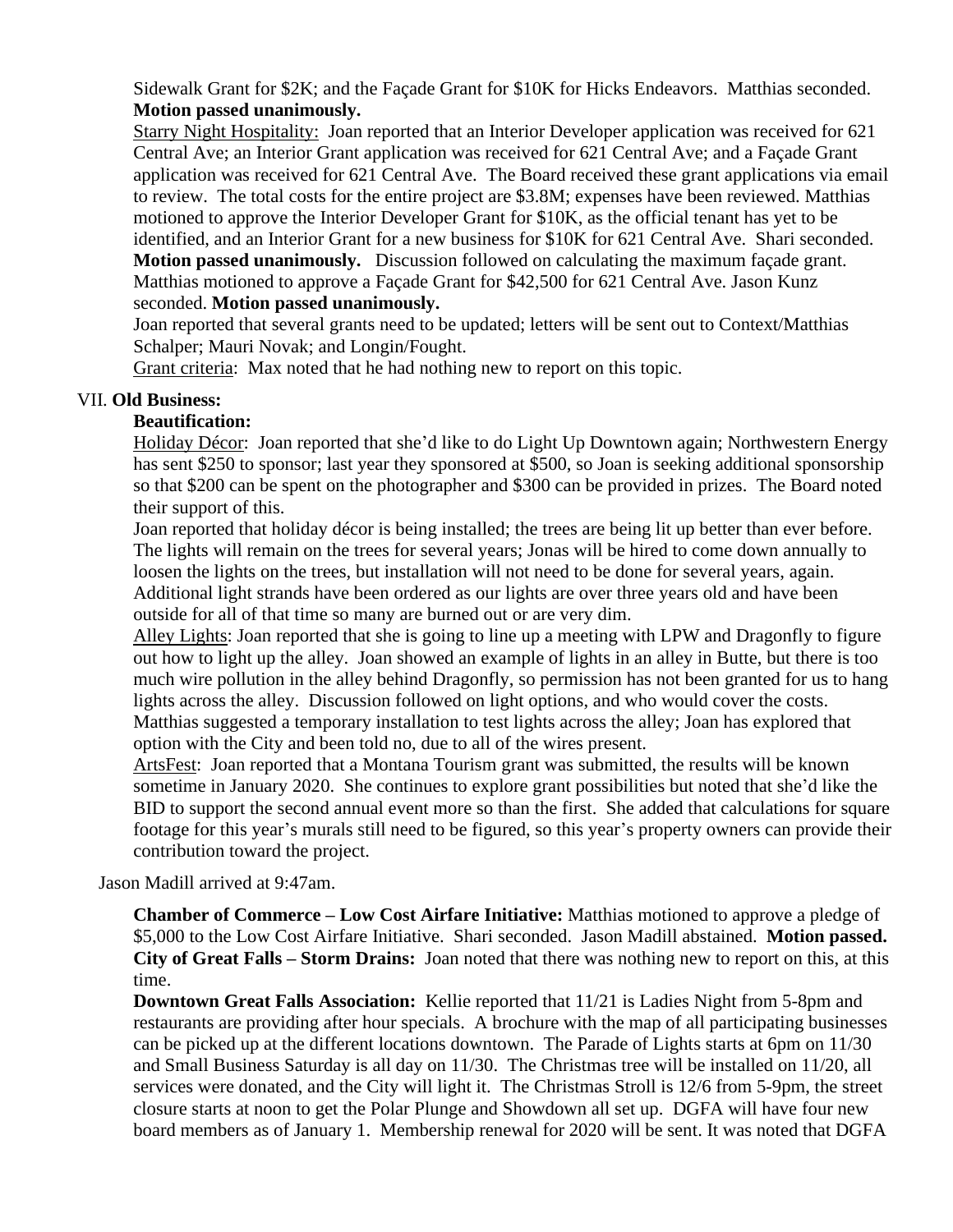Sidewalk Grant for \$2K; and the Façade Grant for \$10K for Hicks Endeavors. Matthias seconded. **Motion passed unanimously.** 

Starry Night Hospitality:Joan reported that an Interior Developer application was received for 621 Central Ave; an Interior Grant application was received for 621 Central Ave; and a Façade Grant application was received for 621 Central Ave. The Board received these grant applications via email to review. The total costs for the entire project are \$3.8M; expenses have been reviewed. Matthias motioned to approve the Interior Developer Grant for \$10K, as the official tenant has yet to be identified, and an Interior Grant for a new business for \$10K for 621 Central Ave. Shari seconded. **Motion passed unanimously.** Discussion followed on calculating the maximum façade grant. Matthias motioned to approve a Façade Grant for \$42,500 for 621 Central Ave. Jason Kunz seconded. **Motion passed unanimously.**

Joan reported that several grants need to be updated; letters will be sent out to Context/Matthias Schalper; Mauri Novak; and Longin/Fought.

Grant criteria: Max noted that he had nothing new to report on this topic.

#### VII. **Old Business:**

## **Beautification:**

Holiday Décor: Joan reported that she'd like to do Light Up Downtown again; Northwestern Energy has sent \$250 to sponsor; last year they sponsored at \$500, so Joan is seeking additional sponsorship so that \$200 can be spent on the photographer and \$300 can be provided in prizes. The Board noted their support of this.

Joan reported that holiday décor is being installed; the trees are being lit up better than ever before. The lights will remain on the trees for several years; Jonas will be hired to come down annually to loosen the lights on the trees, but installation will not need to be done for several years, again. Additional light strands have been ordered as our lights are over three years old and have been outside for all of that time so many are burned out or are very dim.

Alley Lights: Joan reported that she is going to line up a meeting with LPW and Dragonfly to figure out how to light up the alley. Joan showed an example of lights in an alley in Butte, but there is too much wire pollution in the alley behind Dragonfly, so permission has not been granted for us to hang lights across the alley. Discussion followed on light options, and who would cover the costs. Matthias suggested a temporary installation to test lights across the alley; Joan has explored that option with the City and been told no, due to all of the wires present.

ArtsFest: Joan reported that a Montana Tourism grant was submitted, the results will be known sometime in January 2020. She continues to explore grant possibilities but noted that she'd like the BID to support the second annual event more so than the first. She added that calculations for square footage for this year's murals still need to be figured, so this year's property owners can provide their contribution toward the project.

Jason Madill arrived at 9:47am.

**Chamber of Commerce – Low Cost Airfare Initiative:** Matthias motioned to approve a pledge of \$5,000 to the Low Cost Airfare Initiative. Shari seconded. Jason Madill abstained. **Motion passed. City of Great Falls – Storm Drains:** Joan noted that there was nothing new to report on this, at this time.

**Downtown Great Falls Association:** Kellie reported that 11/21 is Ladies Night from 5-8pm and restaurants are providing after hour specials. A brochure with the map of all participating businesses can be picked up at the different locations downtown. The Parade of Lights starts at 6pm on 11/30 and Small Business Saturday is all day on 11/30. The Christmas tree will be installed on 11/20, all services were donated, and the City will light it. The Christmas Stroll is 12/6 from 5-9pm, the street closure starts at noon to get the Polar Plunge and Showdown all set up. DGFA will have four new board members as of January 1. Membership renewal for 2020 will be sent. It was noted that DGFA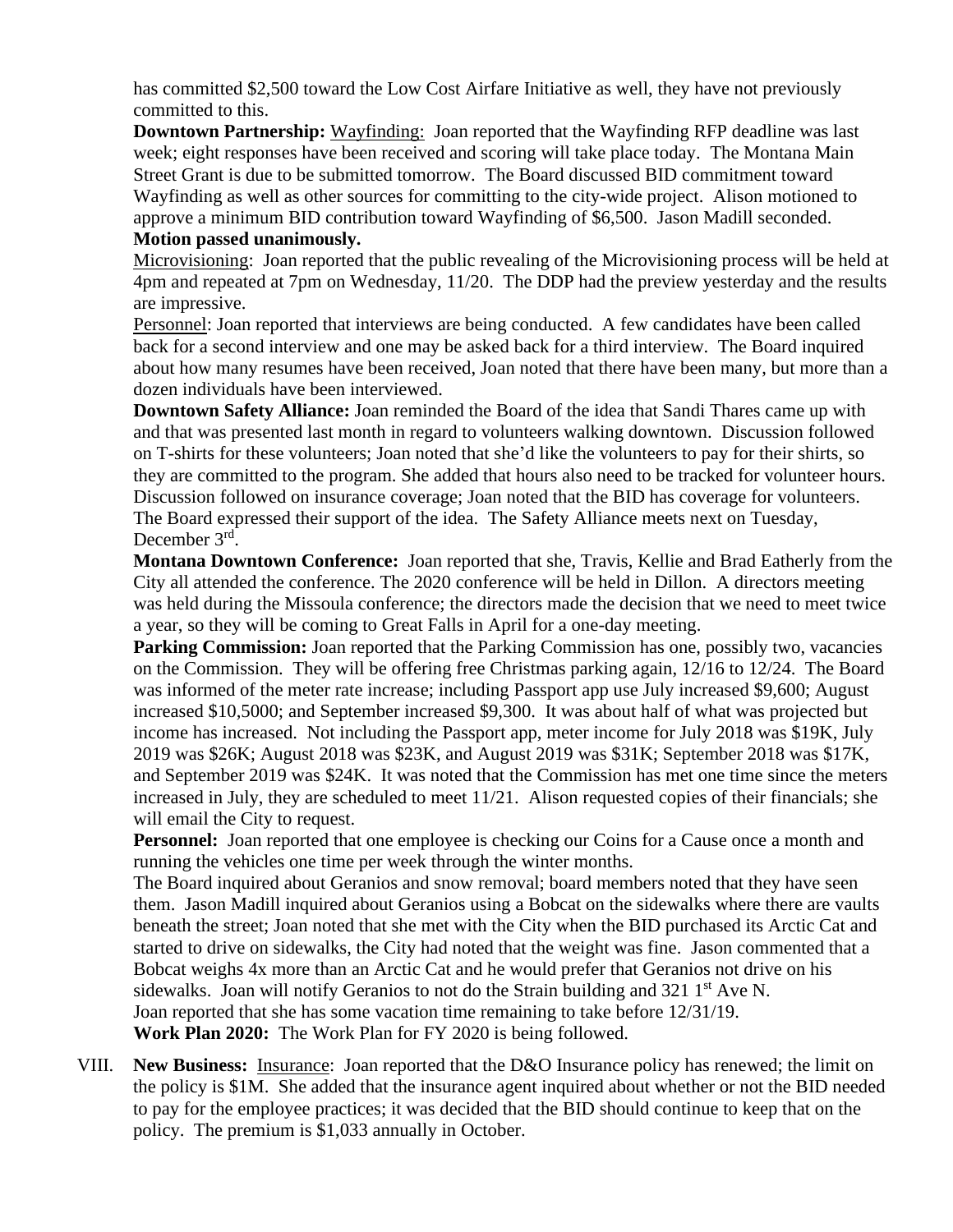has committed \$2,500 toward the Low Cost Airfare Initiative as well, they have not previously committed to this.

**Downtown Partnership:** Wayfinding: Joan reported that the Wayfinding RFP deadline was last week; eight responses have been received and scoring will take place today. The Montana Main Street Grant is due to be submitted tomorrow. The Board discussed BID commitment toward Wayfinding as well as other sources for committing to the city-wide project. Alison motioned to approve a minimum BID contribution toward Wayfinding of \$6,500. Jason Madill seconded.

### **Motion passed unanimously.**

Microvisioning: Joan reported that the public revealing of the Microvisioning process will be held at 4pm and repeated at 7pm on Wednesday, 11/20. The DDP had the preview yesterday and the results are impressive.

Personnel: Joan reported that interviews are being conducted. A few candidates have been called back for a second interview and one may be asked back for a third interview. The Board inquired about how many resumes have been received, Joan noted that there have been many, but more than a dozen individuals have been interviewed.

**Downtown Safety Alliance:** Joan reminded the Board of the idea that Sandi Thares came up with and that was presented last month in regard to volunteers walking downtown. Discussion followed on T-shirts for these volunteers; Joan noted that she'd like the volunteers to pay for their shirts, so they are committed to the program. She added that hours also need to be tracked for volunteer hours. Discussion followed on insurance coverage; Joan noted that the BID has coverage for volunteers. The Board expressed their support of the idea. The Safety Alliance meets next on Tuesday, December 3rd.

**Montana Downtown Conference:** Joan reported that she, Travis, Kellie and Brad Eatherly from the City all attended the conference. The 2020 conference will be held in Dillon. A directors meeting was held during the Missoula conference; the directors made the decision that we need to meet twice a year, so they will be coming to Great Falls in April for a one-day meeting.

**Parking Commission:** Joan reported that the Parking Commission has one, possibly two, vacancies on the Commission. They will be offering free Christmas parking again, 12/16 to 12/24. The Board was informed of the meter rate increase; including Passport app use July increased \$9,600; August increased \$10,5000; and September increased \$9,300. It was about half of what was projected but income has increased. Not including the Passport app, meter income for July 2018 was \$19K, July 2019 was \$26K; August 2018 was \$23K, and August 2019 was \$31K; September 2018 was \$17K, and September 2019 was \$24K. It was noted that the Commission has met one time since the meters increased in July, they are scheduled to meet 11/21. Alison requested copies of their financials; she will email the City to request.

**Personnel:** Joan reported that one employee is checking our Coins for a Cause once a month and running the vehicles one time per week through the winter months.

The Board inquired about Geranios and snow removal; board members noted that they have seen them. Jason Madill inquired about Geranios using a Bobcat on the sidewalks where there are vaults beneath the street; Joan noted that she met with the City when the BID purchased its Arctic Cat and started to drive on sidewalks, the City had noted that the weight was fine. Jason commented that a Bobcat weighs 4x more than an Arctic Cat and he would prefer that Geranios not drive on his sidewalks. Joan will notify Geranios to not do the Strain building and  $321 \text{ } 1^{\text{st}}$  Ave N. Joan reported that she has some vacation time remaining to take before 12/31/19. **Work Plan 2020:** The Work Plan for FY 2020 is being followed.

VIII. **New Business:** Insurance: Joan reported that the D&O Insurance policy has renewed; the limit on the policy is \$1M. She added that the insurance agent inquired about whether or not the BID needed to pay for the employee practices; it was decided that the BID should continue to keep that on the policy. The premium is \$1,033 annually in October.